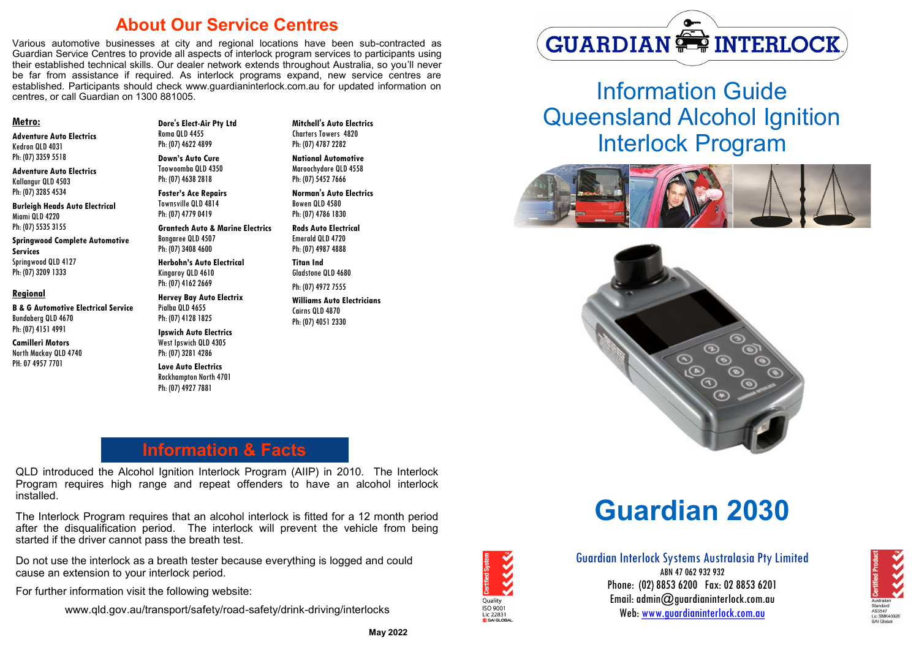### **About Our Service Centres**

Various automotive businesses at city and regional locations have been sub-contracted as Guardian Service Centres to provide all aspects of interlock program services to participants using their established technical skills. Our dealer network extends throughout Australia, so you'll never be far from assistance if required. As interlock programs expand, new service centres are established. Participants should check www.guardianinterlock.com.au for updated information on centres, or call Guardian on 1300 881005.

#### **Metro:**

**Adventure Auto Electrics** Kedron QLD 4031 Ph: (07) 3359 5518

**Adventure Auto Electrics** Kallangur QLD 4503 Ph: (07) 3285 4534

**Burleigh Heads Auto Electrical**  Miami QLD 4220 Ph: (07) 5535 3155

**Springwood Complete Automotive Services**  Springwood QLD 4127 Ph: (07) 3209 1333

#### **Regional**

**B & G Automotive Electrical Service** Bundaberg QLD 4670 Ph: (07) 4151 4991

**Camilleri Motors** North Mackay QLD 4740 PH: 07 4957 7701

**Dore's Elect-Air Pty Ltd** Roma QLD 4455 Ph: (07) 4622 4899

**Down's Auto Cure** Toowoomba QLD 4350 Ph: (07) 4638 2818

**Foster's Ace Repairs** Townsville QLD 4814 Ph: (07) 4779 0419

**Grantech Auto & Marine Electrics** Bongaree QLD 4507 Ph: (07) 3408 4600

**Herbohn's Auto Electrical** Kingaroy QLD 4610 Ph: (07) 4162 2669

**Hervey Bay Auto Electrix** Pialba QLD 4655 Ph: (07) 4128 1825 **Ipswich Auto Electrics**  West Ipswich QLD 4305 Ph: (07) 3281 4286

**Love Auto Electrics** Rockhampton North 4701 Ph: (07) 4927 7881

Ph: (07) 4787 2282 **National Automotive** Maroochydore QLD 4558

**Mitchell's Auto Electrics**  Charters Towers 4820

**Norman's Auto Electrics** Bowen QLD 4580 Ph: (07) 4786 1830

Ph: (07) 5452 7666

**Rods Auto Electrical** Emerald QLD 4720 Ph: (07) 4987 4888

**Titan Ind**  Gladstone QLD 4680 Ph: (07) 4972 7555

**Williams Auto Electricians**  Cairns QLD 4870 Ph: (07) 4051 2330

# **GUARDIAN SE INTERLOCK**

Information Guide Queensland Alcohol Ignition Interlock Program





# **Information & Facts**

QLD introduced the Alcohol Ignition Interlock Program (AIIP) in 2010. The Interlock Program requires high range and repeat offenders to have an alcohol interlock installed.

The Interlock Program requires that an alcohol interlock is fitted for a 12 month period after the disqualification period. The interlock will prevent the vehicle from being started if the driver cannot pass the breath test.

Do not use the interlock as a breath tester because everything is logged and could cause an extension to your interlock period.

For further information visit the following website:

www.qld.gov.au/transport/safety/road-safety/drink-driving/interlocks

# **Guardian 2030**



Guardian Interlock Systems Australasia Pty Limited ARN 47 062 932 932 Phone: (02) 8853 6200 Fax: 02 8853 6201 Email: admin@guardianinterlock.com.au Web: www.guardianinterlock.com.au